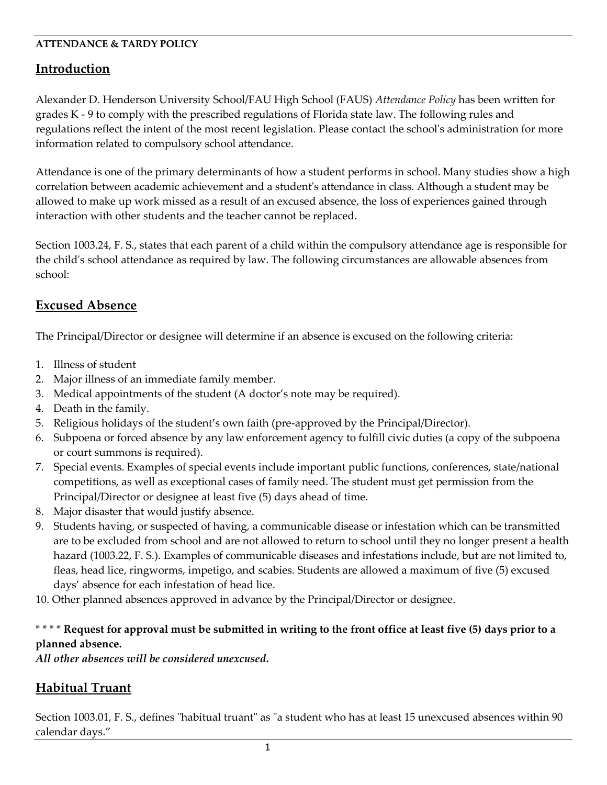#### **ATTENDANCE & TARDY POLICY**

### **Introduction**

Alexander D. Henderson University School/FAU High School (FAUS) *Attendance Policy* has been written for grades K - 9 to comply with the prescribed regulations of Florida state law. The following rules and regulations reflect the intent of the most recent legislation. Please contact the school's administration for more information related to compulsory school attendance.

Attendance is one of the primary determinants of how a student performs in school. Many studies show a high correlation between academic achievement and a student's attendance in class. Although a student may be allowed to make up work missed as a result of an excused absence, the loss of experiences gained through interaction with other students and the teacher cannot be replaced.

Section [1003.24, F. S.](http://www.flsenate.gov/Statutes/index.cfm?App_mode=Display_Statute&Search_String=&URL=Ch1003/SEC24.HTM&Title=-%3e2004-%3eCh1003-%3eSection%2024#1003.24), states that each parent of a child within the compulsory attendance age is responsible for the child's school attendance as required by law. The following circumstances are allowable absences from school:

## **Excused Absence**

The Principal/Director or designee will determine if an absence is excused on the following criteria:

- 1. Illness of student
- 2. Major illness of an immediate family member.
- 3. Medical appointments of the student (A doctor's note may be required).
- 4. Death in the family.
- 5. Religious holidays of the student's own faith (pre-approved by the Principal/Director).
- 6. Subpoena or forced absence by any law enforcement agency to fulfill civic duties (a copy of the subpoena or court summons is required).
- 7. Special events. Examples of special events include important public functions, conferences, state/national competitions, as well as exceptional cases of family need. The student must get permission from the Principal/Director or designee at least five (5) days ahead of time.
- 8. Major disaster that would justify absence.
- 9. Students having, or suspected of having, a communicable disease or infestation which can be transmitted are to be excluded from school and are not allowed to return to school until they no longer present a health hazard (1003.22, F. S.). Examples of communicable diseases and infestations include, but are not limited to, fleas, head lice, ringworms, impetigo, and scabies. Students are allowed a maximum of five (5) excused days' absence for each infestation of head lice.
- 10. Other planned absences approved in advance by the Principal/Director or designee.

### \* \* \* \* **Request for approval must be submitted in writing to the front office at least five (5) days prior to a planned absence.**

*All other absences will be considered unexcused***.**

# **Habitual Truant**

Section [1003.01, F. S.](http://www.flsenate.gov/Statutes/index.cfm?App_mode=Display_Statute&Search_String=&URL=Ch1003/SEC26.HTM&Title=-%3e2004-%3eCh1003-%3eSection%2026#1003.26), defines "habitual truant" as "a student who has at least 15 unexcused absences within 90 calendar days."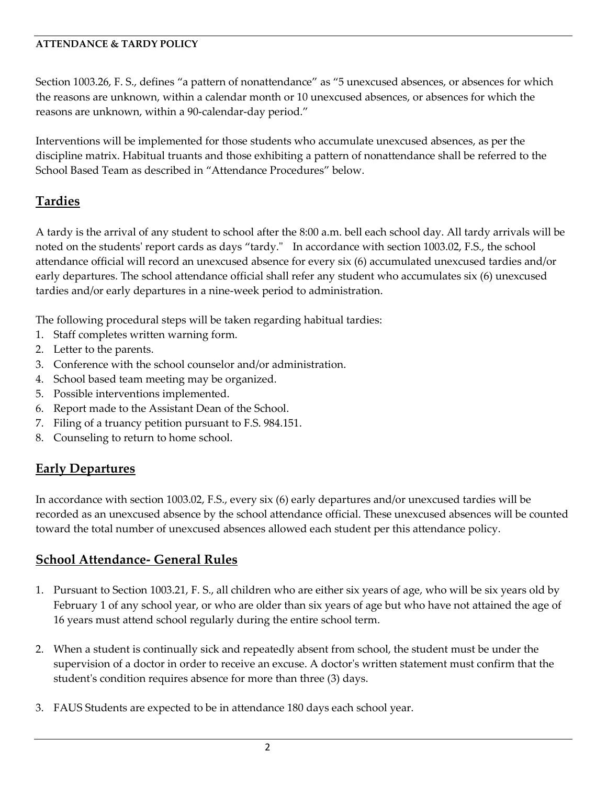#### **ATTENDANCE & TARDY POLICY**

Section 1003.26, F. S., defines "a pattern of nonattendance" as "5 unexcused absences, or absences for which the reasons are unknown, within a calendar month or 10 unexcused absences, or absences for which the reasons are unknown, within a 90-calendar-day period."

Interventions will be implemented for those students who accumulate unexcused absences, as per the discipline matrix. Habitual truants and those exhibiting a pattern of nonattendance shall be referred to the School Based Team as described in "Attendance Procedures" below.

## **Tardies**

A tardy is the arrival of any student to school after the 8:00 a.m. bell each school day. All tardy arrivals will be noted on the students' report cards as days "tardy." In accordance with section 1003.02, F.S., the school attendance official will record an unexcused absence for every six (6) accumulated unexcused tardies and/or early departures. The school attendance official shall refer any student who accumulates six (6) unexcused tardies and/or early departures in a nine-week period to administration.

The following procedural steps will be taken regarding habitual tardies:

- 1. Staff completes written warning form.
- 2. Letter to the parents.
- 3. Conference with the school counselor and/or administration.
- 4. School based team meeting may be organized.
- 5. Possible interventions implemented.
- 6. Report made to the Assistant Dean of the School.
- 7. Filing of a truancy petition pursuant to F.S. 984.151.
- 8. Counseling to return to home school.

# **Early Departures**

In accordance with section 1003.02, F.S., every six (6) early departures and/or unexcused tardies will be recorded as an unexcused absence by the school attendance official. These unexcused absences will be counted toward the total number of unexcused absences allowed each student per this attendance policy.

## **School Attendance- General Rules**

- 1. Pursuant to Section [1003.21, F. S.](http://www.flsenate.gov/Statutes/index.cfm?App_mode=Display_Statute&Search_String=&URL=Ch1003/SEC21.HTM&Title=-%3e2004-%3eCh1003-%3eSection%2021#1003.21), all children who are either six years of age, who will be six years old by February 1 of any school year, or who are older than six years of age but who have not attained the age of 16 years must attend school regularly during the entire school term.
- 2. When a student is continually sick and repeatedly absent from school, the student must be under the supervision of a doctor in order to receive an excuse. A doctor's written statement must confirm that the student's condition requires absence for more than three (3) days.
- 3. FAUS Students are expected to be in attendance 180 days each school year.